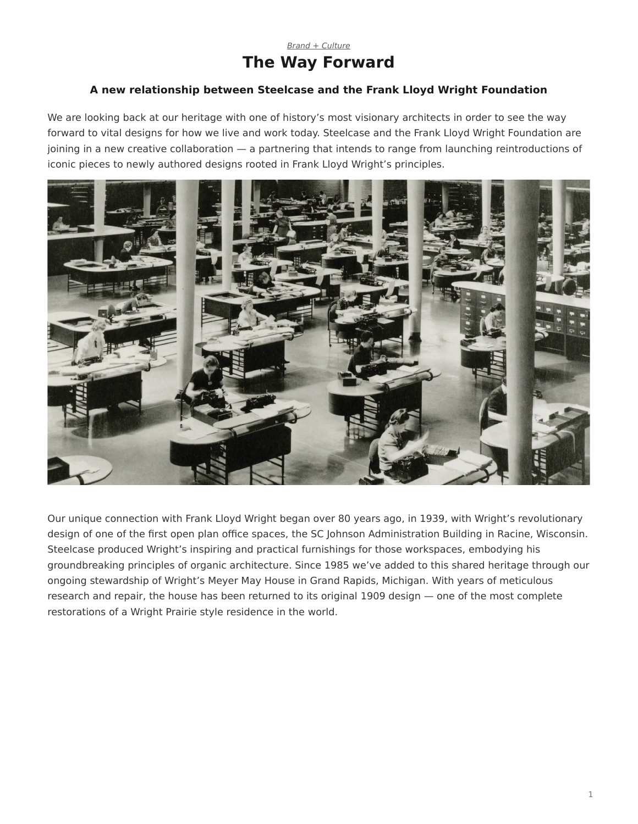## *[Brand + Culture](https://www.steelcase.com/research/topics/brand-culture/)* **The Way Forward**

## <span id="page-0-0"></span>**A new relationship between Steelcase and the Frank Lloyd Wright Foundation**

We are looking back at our heritage with one of history's most visionary architects in order to see the way forward to vital designs for how we live and work today. Steelcase and the Frank Lloyd Wright Foundation are joining in a new creative collaboration — a partnering that intends to range from launching reintroductions of iconic pieces to newly authored designs rooted in Frank Lloyd Wright's principles.



Our unique connection with Frank Lloyd Wright began over 80 years ago, in 1939, with Wright's revolutionary design of one of the first open plan office spaces, the SC Johnson Administration Building in Racine, Wisconsin. Steelcase produced Wright's inspiring and practical furnishings for those workspaces, embodying his groundbreaking principles of organic architecture. Since 1985 we've added to this shared heritage through our ongoing stewardship of Wright's Meyer May House in Grand Rapids, Michigan. With years of meticulous research and repair, the house has been returned to its original 1909 design — one of the most complete restorations of a Wright Prairie style residence in the world.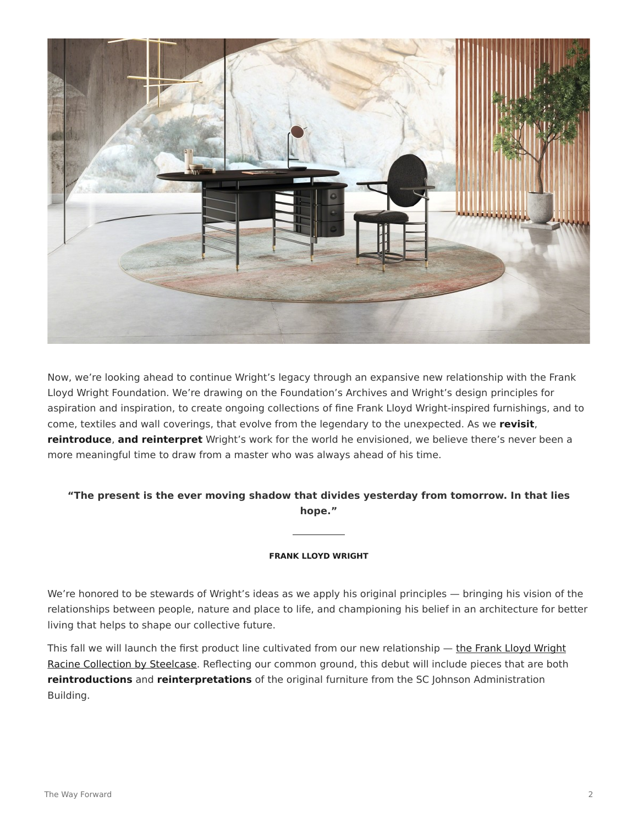

Now, we're looking ahead to continue Wright's legacy through an expansive new relationship with the Frank Lloyd Wright Foundation. We're drawing on the Foundation's Archives and Wright's design principles for aspiration and inspiration, to create ongoing collections of fine Frank Lloyd Wright-inspired furnishings, and to come, textiles and wall coverings, that evolve from the legendary to the unexpected. As we **revisit**, **reintroduce**, **and reinterpret** Wright's work for the world he envisioned, we believe there's never been a more meaningful time to draw from a master who was always ahead of his time.

## **"The present is the ever moving shadow that divides yesterday from tomorrow. In that lies hope."**

## **FRANK LLOYD WRIGHT**

We're honored to be stewards of Wright's ideas as we apply his original principles — bringing his vision of the relationships between people, nature and place to life, and championing his belief in an architecture for better living that helps to shape our collective future.

This fall we will launch the first product line cultivated from our new relationship - [the Frank Lloyd Wright](https://www.steelcase.com/flwcollection/) [Racine Collection by Steelcase](https://www.steelcase.com/flwcollection/). Reflecting our common ground, this debut will include pieces that are both **reintroductions** and **reinterpretations** of the original furniture from the SC Johnson Administration Building.